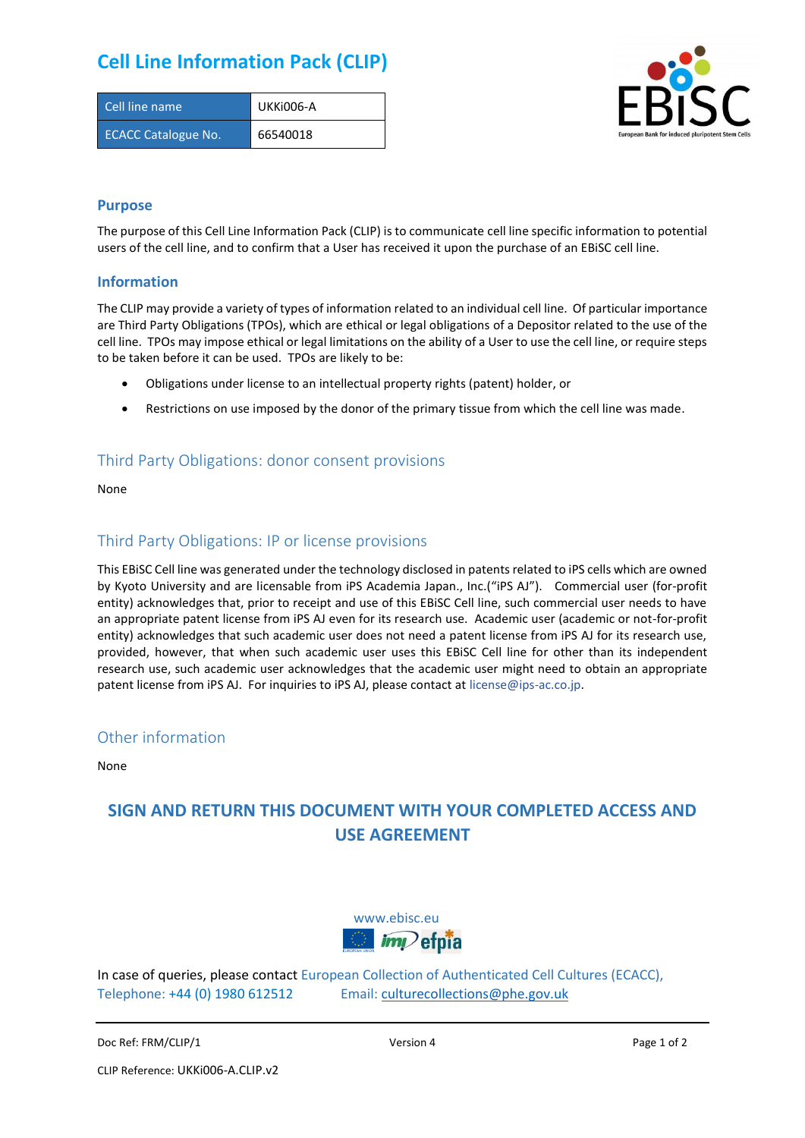## **Cell Line Information Pack (CLIP)**

| Cell line name             | UKKI006-A |
|----------------------------|-----------|
| <b>ECACC Catalogue No.</b> | 66540018  |



#### **Purpose**

The purpose of this Cell Line Information Pack (CLIP) is to communicate cell line specific information to potential users of the cell line, and to confirm that a User has received it upon the purchase of an EBiSC cell line.

#### **Information**

The CLIP may provide a variety of types of information related to an individual cell line. Of particular importance are Third Party Obligations (TPOs), which are ethical or legal obligations of a Depositor related to the use of the cell line. TPOs may impose ethical or legal limitations on the ability of a User to use the cell line, or require steps to be taken before it can be used. TPOs are likely to be:

- Obligations under license to an intellectual property rights (patent) holder, or
- Restrictions on use imposed by the donor of the primary tissue from which the cell line was made.

### Third Party Obligations: donor consent provisions

None

#### Third Party Obligations: IP or license provisions

This EBiSC Cell line was generated under the technology disclosed in patents related to iPS cells which are owned by Kyoto University and are licensable from iPS Academia Japan., Inc.("iPS AJ"). Commercial user (for-profit entity) acknowledges that, prior to receipt and use of this EBiSC Cell line, such commercial user needs to have an appropriate patent license from iPS AJ even for its research use. Academic user (academic or not-for-profit entity) acknowledges that such academic user does not need a patent license from iPS AJ for its research use, provided, however, that when such academic user uses this EBiSC Cell line for other than its independent research use, such academic user acknowledges that the academic user might need to obtain an appropriate patent license from iPS AJ. For inquiries to iPS AJ, please contact at [license@ips-ac.co.jp.](mailto:license@ips-ac.co.jp)

#### Other information

None

### **SIGN AND RETURN THIS DOCUMENT WITH YOUR COMPLETED ACCESS AND USE AGREEMENT**



In case of queries, please contact European Collection of Authenticated Cell Cultures (ECACC), Telephone: +44 (0) 1980 612512 Email: [culturecollections@phe.gov.uk](mailto:culturecollections@phe.gov.uk)

Doc Ref: FRM/CLIP/1 **Docessition 2** Page 1 of 2